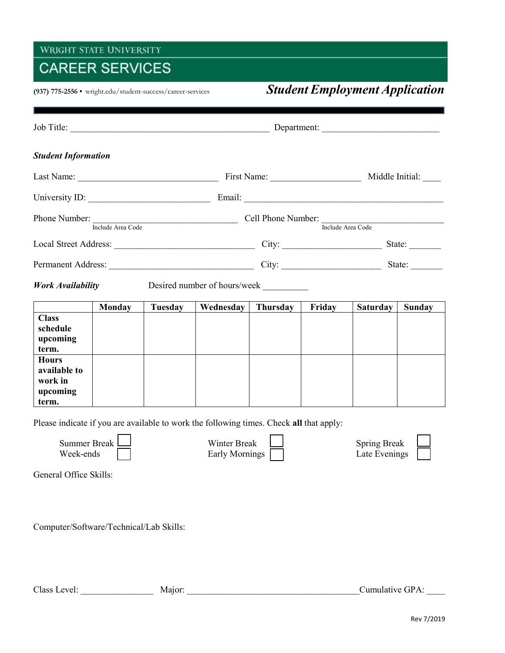## WRIGHT STATE UNIVERSITY

## **CAREER SERVICES**

## **(937) 775-2556 •** wright.edu/student-success/career-services*Student Employment Application*

| <b>Student Information</b>                                                              |               |         |                                                                              |          |        |                                                                                                                                                      |        |  |
|-----------------------------------------------------------------------------------------|---------------|---------|------------------------------------------------------------------------------|----------|--------|------------------------------------------------------------------------------------------------------------------------------------------------------|--------|--|
|                                                                                         |               |         |                                                                              |          |        |                                                                                                                                                      |        |  |
|                                                                                         |               |         |                                                                              |          |        |                                                                                                                                                      |        |  |
|                                                                                         |               |         | Phone Number:<br>Include Area Code<br>Include Area Code<br>Include Area Code |          |        |                                                                                                                                                      |        |  |
|                                                                                         |               |         |                                                                              |          |        |                                                                                                                                                      |        |  |
|                                                                                         |               |         |                                                                              |          |        | State: $\frac{1}{\sqrt{1-\frac{1}{2}} \cdot \frac{1}{\sqrt{1-\frac{1}{2}} \cdot \frac{1}{2}} \cdot \frac{1}{\sqrt{1-\frac{1}{2}} \cdot \frac{1}{2}}$ |        |  |
| <b>Work Availability</b><br>Desired number of hours/week                                |               |         |                                                                              |          |        |                                                                                                                                                      |        |  |
|                                                                                         | <b>Monday</b> | Tuesday | Wednesday                                                                    | Thursday | Friday | <b>Saturday</b>                                                                                                                                      | Sunday |  |
| <b>Class</b><br>schedule<br>upcoming<br>term.                                           |               |         |                                                                              |          |        |                                                                                                                                                      |        |  |
| <b>Hours</b><br>available to<br>work in<br>upcoming<br>term.                            |               |         |                                                                              |          |        |                                                                                                                                                      |        |  |
| Please indicate if you are available to work the following times. Check all that apply: |               |         |                                                                              |          |        |                                                                                                                                                      |        |  |
| Summer Break L<br>Week-ends                                                             |               |         | Winter Break<br>Early Mornings                                               |          |        | Spring Break<br>Late Evenings                                                                                                                        |        |  |
| General Office Skills:                                                                  |               |         |                                                                              |          |        |                                                                                                                                                      |        |  |
| Computer/Software/Technical/Lab Skills:                                                 |               |         |                                                                              |          |        |                                                                                                                                                      |        |  |

Class Level: \_\_\_\_\_\_\_\_\_\_\_\_\_\_\_\_ Major: \_\_\_\_\_\_\_\_\_\_\_\_\_\_\_\_\_\_\_\_\_\_\_\_\_\_\_\_\_\_\_\_\_\_\_\_\_\_Cumulative GPA: \_\_\_\_